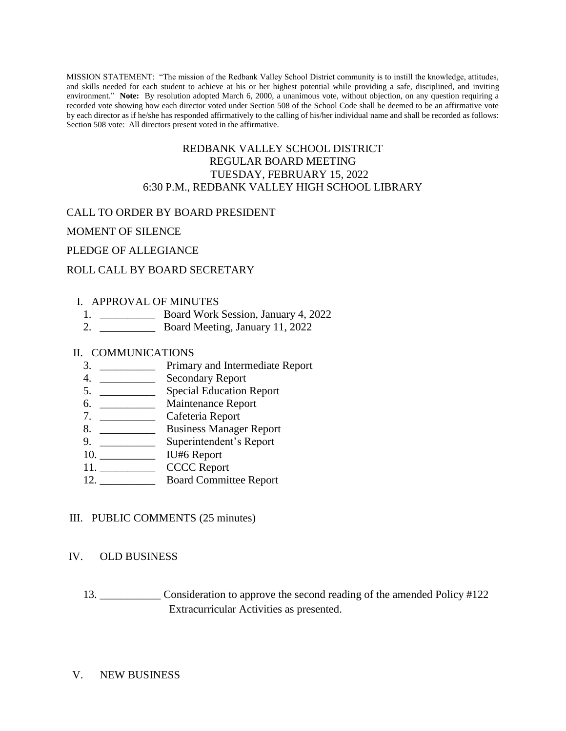MISSION STATEMENT: "The mission of the Redbank Valley School District community is to instill the knowledge, attitudes, and skills needed for each student to achieve at his or her highest potential while providing a safe, disciplined, and inviting environment." **Note:** By resolution adopted March 6, 2000, a unanimous vote, without objection, on any question requiring a recorded vote showing how each director voted under Section 508 of the School Code shall be deemed to be an affirmative vote by each director as if he/she has responded affirmatively to the calling of his/her individual name and shall be recorded as follows: Section 508 vote: All directors present voted in the affirmative.

## REDBANK VALLEY SCHOOL DISTRICT REGULAR BOARD MEETING TUESDAY, FEBRUARY 15, 2022 6:30 P.M., REDBANK VALLEY HIGH SCHOOL LIBRARY

## CALL TO ORDER BY BOARD PRESIDENT

MOMENT OF SILENCE

PLEDGE OF ALLEGIANCE

## ROLL CALL BY BOARD SECRETARY

### I. APPROVAL OF MINUTES

- 1. \_\_\_\_\_\_\_\_\_\_ Board Work Session, January 4, 2022
- 2. \_\_\_\_\_\_\_\_\_\_ Board Meeting, January 11, 2022

### II. COMMUNICATIONS

- 3. \_\_\_\_\_\_\_\_\_\_ Primary and Intermediate Report
- 4. \_\_\_\_\_\_\_\_\_\_ Secondary Report
- 5. \_\_\_\_\_\_\_\_\_\_ Special Education Report
- 6. \_\_\_\_\_\_\_\_\_\_ Maintenance Report
- 7. \_\_\_\_\_\_\_\_\_\_ Cafeteria Report
- 8. \_\_\_\_\_\_\_\_\_\_\_\_\_ Business Manager Report
- 9. \_\_\_\_\_\_\_\_\_\_ Superintendent's Report
- 10. \_\_\_\_\_\_\_\_\_\_ IU#6 Report
- 11. CCCC Report
- 12. \_\_\_\_\_\_\_\_\_\_ Board Committee Report

## III. PUBLIC COMMENTS (25 minutes)

## IV. OLD BUSINESS

13. \_\_\_\_\_\_\_\_\_\_\_ Consideration to approve the second reading of the amended Policy #122 Extracurricular Activities as presented.

#### V. NEW BUSINESS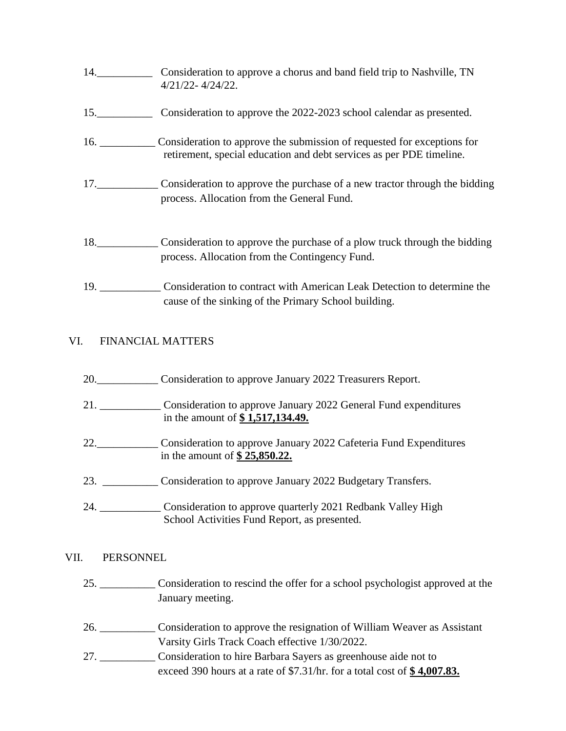- 14.\_\_\_\_\_\_\_\_\_\_ Consideration to approve a chorus and band field trip to Nashville, TN 4/21/22- 4/24/22. 15.\_\_\_\_\_\_\_\_\_\_ Consideration to approve the 2022-2023 school calendar as presented. 16. \_\_\_\_\_\_\_\_\_\_ Consideration to approve the submission of requested for exceptions for retirement, special education and debt services as per PDE timeline. 17.\_\_\_\_\_\_\_\_\_\_\_ Consideration to approve the purchase of a new tractor through the bidding process. Allocation from the General Fund.
- 18.\_\_\_\_\_\_\_\_\_\_\_ Consideration to approve the purchase of a plow truck through the bidding process. Allocation from the Contingency Fund.
- 19. \_\_\_\_\_\_\_\_\_\_\_ Consideration to contract with American Leak Detection to determine the cause of the sinking of the Primary School building.

# VI. FINANCIAL MATTERS

- 20. Consideration to approve January 2022 Treasurers Report.
- 21. \_\_\_\_\_\_\_\_\_\_\_ Consideration to approve January 2022 General Fund expenditures in the amount of **\$ 1,517,134.49.**
- 22.\_\_\_\_\_\_\_\_\_\_\_ Consideration to approve January 2022 Cafeteria Fund Expenditures in the amount of **\$ 25,850.22.**
- 23. \_\_\_\_\_\_\_\_\_\_ Consideration to approve January 2022 Budgetary Transfers.
- 24. \_\_\_\_\_\_\_\_\_\_\_ Consideration to approve quarterly 2021 Redbank Valley High School Activities Fund Report, as presented.

# VII. PERSONNEL

- 25. \_\_\_\_\_\_\_\_\_\_ Consideration to rescind the offer for a school psychologist approved at the January meeting.
- 26. \_\_\_\_\_\_\_\_\_\_ Consideration to approve the resignation of William Weaver as Assistant Varsity Girls Track Coach effective 1/30/2022.
- 27. \_\_\_\_\_\_\_\_\_\_ Consideration to hire Barbara Sayers as greenhouse aide not to exceed 390 hours at a rate of \$7.31/hr. for a total cost of **\$ 4,007.83.**